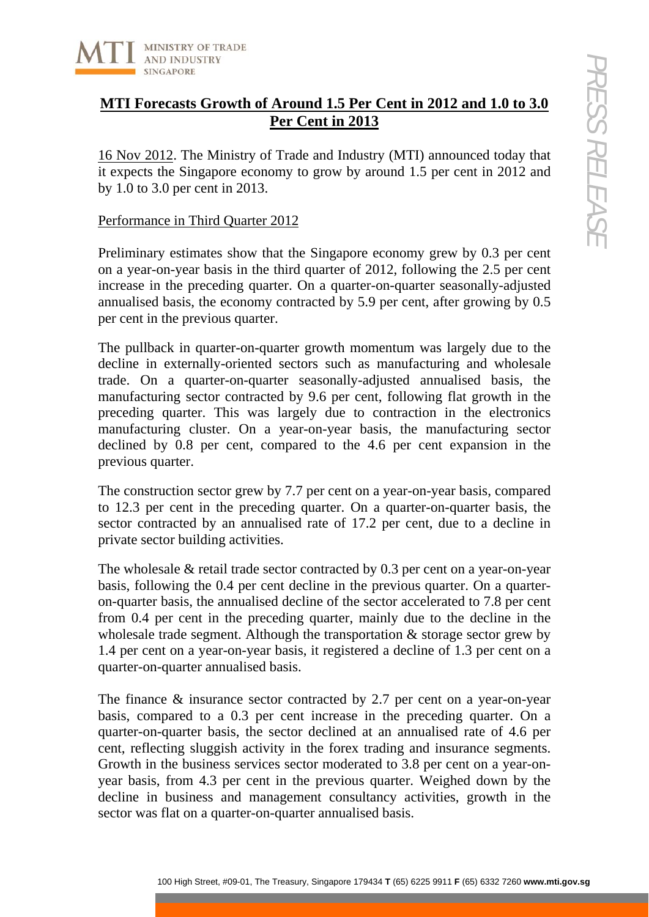

# **MTI Forecasts Growth of Around 1.5 Per Cent in 2012 and 1.0 to 3.0 Per Cent in 2013**

16 Nov 2012. The Ministry of Trade and Industry (MTI) announced today that it expects the Singapore economy to grow by around 1.5 per cent in 2012 and by 1.0 to 3.0 per cent in 2013.

## Performance in Third Quarter 2012

Preliminary estimates show that the Singapore economy grew by 0.3 per cent on a year-on-year basis in the third quarter of 2012, following the 2.5 per cent increase in the preceding quarter. On a quarter-on-quarter seasonally-adjusted annualised basis, the economy contracted by 5.9 per cent, after growing by 0.5 per cent in the previous quarter.

100 Notion This was larger contributed by 0.3 per cent in 2012, and 1.0 0.3.0<br>
12. The Ministry of Trade and Industry (MTI) announced today that<br>
the Singapore conomy to grow by around 1.5 per cent in 2012 and<br>
2.0 per ce The pullback in quarter-on-quarter growth momentum was largely due to the decline in externally-oriented sectors such as manufacturing and wholesale trade. On a quarter-on-quarter seasonally-adjusted annualised basis, the manufacturing sector contracted by 9.6 per cent, following flat growth in the preceding quarter. This was largely due to contraction in the electronics manufacturing cluster. On a year-on-year basis, the manufacturing sector declined by 0.8 per cent, compared to the 4.6 per cent expansion in the previous quarter.

The construction sector grew by 7.7 per cent on a year-on-year basis, compared to 12.3 per cent in the preceding quarter. On a quarter-on-quarter basis, the sector contracted by an annualised rate of 17.2 per cent, due to a decline in private sector building activities.

The wholesale & retail trade sector contracted by 0.3 per cent on a year-on-year basis, following the 0.4 per cent decline in the previous quarter. On a quarteron-quarter basis, the annualised decline of the sector accelerated to 7.8 per cent from 0.4 per cent in the preceding quarter, mainly due to the decline in the wholesale trade segment. Although the transportation & storage sector grew by 1.4 per cent on a year-on-year basis, it registered a decline of 1.3 per cent on a quarter-on-quarter annualised basis.

The finance & insurance sector contracted by 2.7 per cent on a year-on-year basis, compared to a 0.3 per cent increase in the preceding quarter. On a quarter-on-quarter basis, the sector declined at an annualised rate of 4.6 per cent, reflecting sluggish activity in the forex trading and insurance segments. Growth in the business services sector moderated to 3.8 per cent on a year-onyear basis, from 4.3 per cent in the previous quarter. Weighed down by the decline in business and management consultancy activities, growth in the sector was flat on a quarter-on-quarter annualised basis.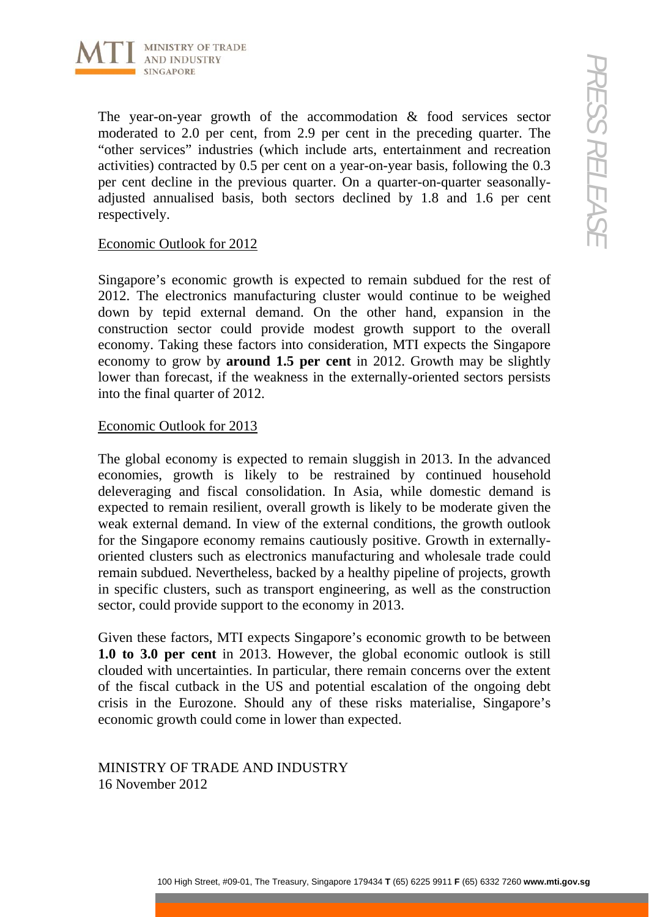

The year-on-year growth of the accommodation & food services sector moderated to 2.0 per cent, from 2.9 per cent in the preceding quarter. The "other services" industries (which include arts, entertainment and recreation activities) contracted by 0.5 per cent on a year-on-year basis, following the 0.3 per cent decline in the previous quarter. On a quarter-on-quarter seasonallyadjusted annualised basis, both sectors declined by 1.8 and 1.6 per cent respectively.

### Economic Outlook for 2012

Singapore's economic growth is expected to remain subdued for the rest of 2012. The electronics manufacturing cluster would continue to be weighed down by tepid external demand. On the other hand, expansion in the construction sector could provide modest growth support to the overall economy. Taking these factors into consideration, MTI expects the Singapore economy to grow by **around 1.5 per cent** in 2012. Growth may be slightly lower than forecast, if the weakness in the externally-oriented sectors persists into the final quarter of 2012.

#### Economic Outlook for 2013

100 Notestra<br>
20. The cent, from 2.9 per cent in the preceding quarter. The contributed is the cent to  $\sim$ 2.0 per cent,  $\sim$ 6 and the preceding to  $\sim$ 3. The Treasury, and  $\sim$  The Treasury, and  $\sim$  The Treasury, and  $\$ The global economy is expected to remain sluggish in 2013. In the advanced economies, growth is likely to be restrained by continued household deleveraging and fiscal consolidation. In Asia, while domestic demand is expected to remain resilient, overall growth is likely to be moderate given the weak external demand. In view of the external conditions, the growth outlook for the Singapore economy remains cautiously positive. Growth in externallyoriented clusters such as electronics manufacturing and wholesale trade could remain subdued. Nevertheless, backed by a healthy pipeline of projects, growth in specific clusters, such as transport engineering, as well as the construction sector, could provide support to the economy in 2013.

Given these factors, MTI expects Singapore's economic growth to be between **1.0 to 3.0 per cent** in 2013. However, the global economic outlook is still clouded with uncertainties. In particular, there remain concerns over the extent of the fiscal cutback in the US and potential escalation of the ongoing debt crisis in the Eurozone. Should any of these risks materialise, Singapore's economic growth could come in lower than expected.

MINISTRY OF TRADE AND INDUSTRY 16 November 2012